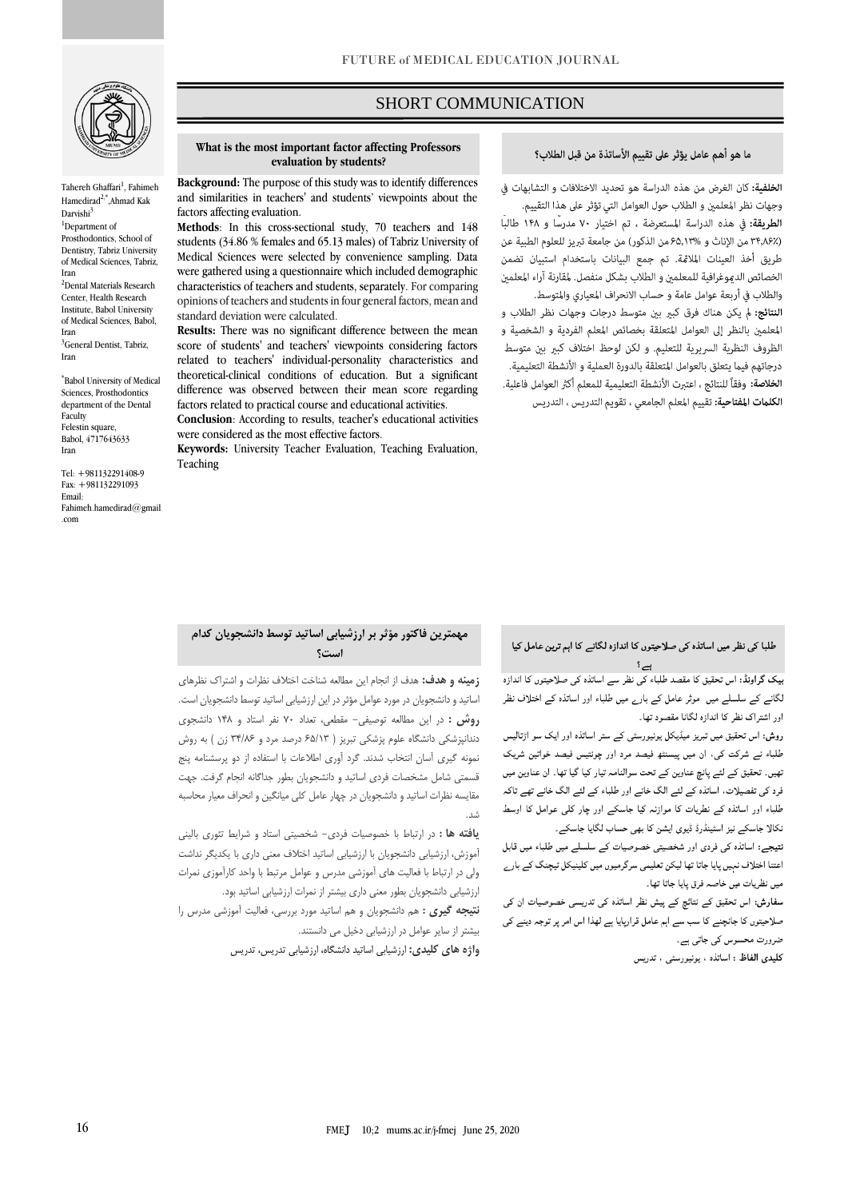

Tahereh Ghaffari<sup>1</sup>, Fahimeh Hamedirad<sup>2,\*</sup>,Ahmad Kak  $\mathrm{Darvishi}^3$ <sup>1</sup>Department of Prosthodontics, School of Dentistry, Tabriz University of Medical Sciences, Tabriz, Iran <sup>2</sup>Dental Materials Research Center, Health Research Institute, Babol University of Medical Sciences, Babol, Iran

<sup>3</sup>General Dentist, Tabriz, Iran

\* Babol University of Medical Sciences, Prosthodontics department of the Dental Faculty Felestin square Babol, 4717643633 Iran

Tel: +981132291408-9 Fax: +981132291093 Email: [Fahimeh.hamedirad@gmail](mailto:Fahimeh.hamedirad@gmail.com) [.com](mailto:Fahimeh.hamedirad@gmail.com)

## SHORT COMMUNICATION

### ما هو أهم عامل يؤثر على تقييم الأساتذة من قبل الطلاب؟

ص

الخلفية: كان الغرض من هذه الدراسة هو تحديد الاختلافات و التشابهات في

وجهات نظر المعلمين و الطلاب حول العوامل التي تؤثر على هذا التقييم. الطريقة: فى هذه الدراسة المستعرضة ، تم اختيار ٧٠ مدرسًا و ١۴٨ طالبًا (٣۴٫۸۶٪ من الإناث و 5۵٫۱۳% من الذكور) من جامعة تبريز للعلوم الطبية عن طريق أخذ العينات الملامَّة. تم جمع البيانات باستخدام استبيان تضمن الخصائص الدموغرافية للمعلمن و الطلاب بشكل منفصل. لمقارنة آراء المعلمن والطلاب في أربعة عوامل عامة و حساب الانحراف المعياري والمتوسط. النتائج: لم يكن هناك فرق كبير بين متوسط درجات وجهات نظر الطلاب و المعلمين بالنظر إلى العوامل المتعلقة بخصائص المعلم الفردية و الشخصية و الظروف النظرية السريرية للتعليم. ولكن لوحظ اختلاف كبير بين متوسط درجاتهم فيما يتعلق بالعوامل المتعلقة بالدورة العملية و الأنشطة التعليمية. **الخلاصة:** وفقاً للنتائج ، اعترت الأنشطة التعليمية للمعلم أكثر العوامل فاعلية. الكلمات المفتاحية: تقييم المعلم الجامعي ، تقويم التدريس ، التدريس

#### **What is the most important factor affecting Professors evaluation by students?**

**Background:** The purpose of this study was to identify differences and similarities in teachers' and students' viewpoints about the factors affecting evaluation.

**Methods**: In this cross-sectional study, 70 teachers and 148 students (34.86 % females and 65.13 males) of Tabriz University of Medical Sciences were selected by convenience sampling. Data were gathered using a questionnaire which included demographic characteristics of teachers and students, separately. For comparing opinions of teachers and students in four general factors, mean and standard deviation were calculated.

**Results:** There was no significant difference between the mean score of students' and teachers' viewpoints considering factors related to teachers' individual-personality characteristics and theoretical-clinical conditions of education. But a significant difference was observed between their mean score regarding factors related to practical course and educational activities.

**Conclusion**: According to results, teacher's educational activities were considered as the most effective factors.

**Keywords:** University Teacher Evaluation, Teaching Evaluation, Teaching

## **مهمترین فاکتور مؤثر بر ارزشیابی اساتید توسط دانشجویان کدام است؟**

**زمینه و هدف:** هدف از انجام این مطالعه شناخت اختالف نظرات و اشتراک نظرهای اساتید و دانشجویان در مورد عوامل مؤثر در این ارزشیابی اساتید توسط دانشجویان است. **روش :** در این مطالعه توصیفی- مقطعی، تعداد 70 نفر استاد و 148 دانشجوی دندانپزشکی دانشگاه علوم پزشکی تبریز ) 65/13 درصد مرد و 34/86 زن ( به روش نمونه گیری آسان انتخاب شدند. گرد آوری اطالعات با استفاده از دو پرسشنامه پنج قسمتی شامل مشخصات فردی اساتید و دانشجویان بطور جداگانه انجام گرفت. جهت مقایسه نظرات اساتید و دانشجویان در چهار عامل کلی میانگین و انحراف معیار محاسبه .<br>شد.

**یافته ها :** در ارتباط با خصوصیات فردی- شخصیتی استاد و شرایط تئوری بالینی آموزش، ارزشیابی دانشجویان با ارزشیابی اساتید اختالف معنی داری با یکدیگر نداشت ولی در ارتباط با فعالیت های آموزشی مدرس و عوامل مرتبط با واحد کارآموزی نمرات ارزشیابی دانشجویان بطور معنی داری بیشتر از نمرات ارزشیابی اساتید بود.

**نتیجه گیری :** هم دانشجویان و هم اساتید مورد بررسی، فعالیت آموزشی مدرس را بیشتر از سایر عوامل در ارزشیابی دخیل می دانستند.

**واژه های کلیدی:** ارزشیابی اساتید دانشگاه، ارزشیابی تدریس، تدریس

# ۔<br>طلبا کی نظر میں اساتذہ ک*ی ص*لاحیتوں کا اندازہ لگانے کا اہم ترین عامل کیا

۔<br>بیک گراونڈ: اس تحقیق کا مقصد طلباء کے نظر سے اساتذہ کے صلاحیتوں کا اندازہ لگانے کے سلسلے میں موثر عامل کے بارے میں طلباء اور اساتذہ کے اختلاف نظر اور اشتراک نظر کا اندازه لگانا مقصود تها۔

روش: اس تحقیق میں تبریز میڈیکل یونیورسٹی کے ستر اساتذہ اور ایک سو اڑتالیس طلباء نے شرکت کی، ان میں پیسنٹھ فیصد مرد اور چونتیس فیصد خواتین شریک تھیں۔ تحقیق کے لئے پانچ عناوین کے تحت سوالنامہ تیار کیا گیا تھا۔ ان عناوین میں فرد کی تفصیلات، اساتذہ کے لئے الگ خانے اور طلباء کے لئے الگ خانے تھے تاکہ طلباء اور اساتذہ کے نطریات کا موازنہ کیا جاسکے اور چار کلی عوامل کا اوسط نکالا جاسکے نیز اسٹینڈرڈ ڈیوی ایشن کا بھی حساب لگایا جاسکے۔

نتیجے: اساتذہ کی فردی اور شخصیتی خصوصیات کے سلسلے میں طلباء میں قابل اعتنا اختلاف نہیں پایا جاتا تھا لیکن تعلیمی سرگرمیوں میں کلینیکل ٹیچنگ کے بار<sub>ے</sub> میں نظریات میں خاصہ فرق پایا جاتا تھا۔

<mark>سفارش:</mark> اس تحقیق کے نتائچ کے پیش نظر اساتذہ کی تدریسی خصوصیات ان کی صلاحیتوں کا جانچنے کا سب سے اہم عامل قرارپایا ہے لھذا اس امر پر توجہ دینے کی ضرورت محسوس کی جاتی ہے۔

كليدى الفاظ : اساتذه ، يونيورسٹى ، تدريس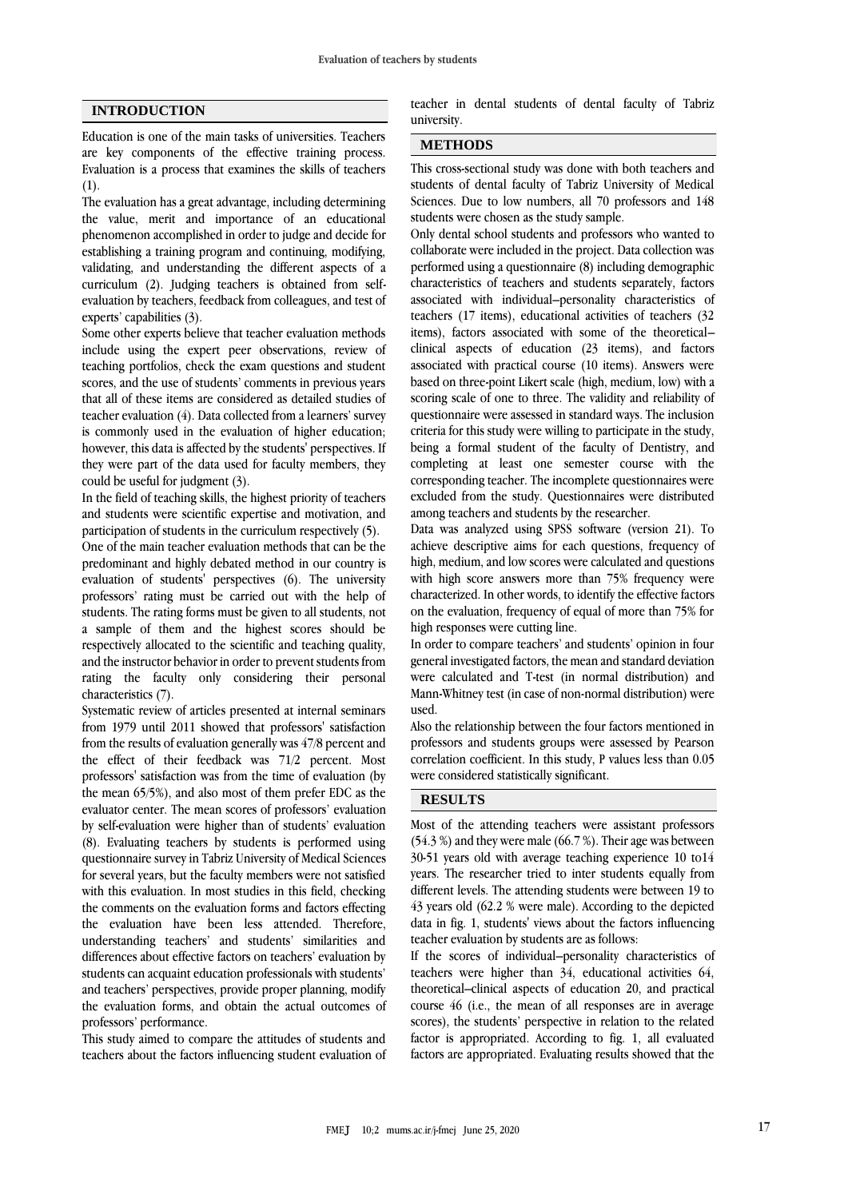#### **INTRODUCTION**

Education is one of the main tasks of universities. Teachers are key components of the effective training process. Evaluation is a process that examines the skills of teachers (1).

The evaluation has a great advantage, including determining the value, merit and importance of an educational phenomenon accomplished in order to judge and decide for establishing a training program and continuing, modifying, validating, and understanding the different aspects of a curriculum (2). Judging teachers is obtained from selfevaluation by teachers, feedback from colleagues, and test of experts' capabilities (3).

Some other experts believe that teacher evaluation methods include using the expert peer observations, review of teaching portfolios, check the exam questions and student scores, and the use of students' comments in previous years that all of these items are considered as detailed studies of teacher evaluation (4). Data collected from a learners' survey is commonly used in the evaluation of higher education; however, this data is affected by the students' perspectives. If they were part of the data used for faculty members, they could be useful for judgment (3).

In the field of teaching skills, the highest priority of teachers and students were scientific expertise and motivation, and participation of students in the curriculum respectively (5).

One of the main teacher evaluation methods that can be the predominant and highly debated method in our country is evaluation of students' perspectives (6). The university professors' rating must be carried out with the help of students. The rating forms must be given to all students, not a sample of them and the highest scores should be respectively allocated to the scientific and teaching quality, and the instructor behavior in order to prevent students from rating the faculty only considering their personal characteristics (7).

Systematic review of articles presented at internal seminars from 1979 until 2011 showed that professors' satisfaction from the results of evaluation generally was 47/8 percent and the effect of their feedback was 71/2 percent. Most professors' satisfaction was from the time of evaluation (by the mean 65/5%), and also most of them prefer EDC as the evaluator center. The mean scores of professors' evaluation by self-evaluation were higher than of students' evaluation (8). Evaluating teachers by students is performed using questionnaire survey in Tabriz University of Medical Sciences for several years, but the faculty members were not satisfied with this evaluation. In most studies in this field, checking the comments on the evaluation forms and factors effecting the evaluation have been less attended. Therefore, understanding teachers' and students' similarities and differences about effective factors on teachers' evaluation by students can acquaint education professionals with students' and teachers' perspectives, provide proper planning, modify the evaluation forms, and obtain the actual outcomes of professors' performance.

This study aimed to compare the attitudes of students and teachers about the factors influencing student evaluation of teacher in dental students of dental faculty of Tabriz university.

#### **METHODS**

This cross-sectional study was done with both teachers and students of dental faculty of Tabriz University of Medical Sciences. Due to low numbers, all 70 professors and 148 students were chosen as the study sample.

Only dental school students and professors who wanted to collaborate were included in the project. Data collection was performed using a questionnaire (8) including demographic characteristics of teachers and students separately, factors associated with individual–personality characteristics of teachers (17 items), educational activities of teachers (32 items), factors associated with some of the theoretical– clinical aspects of education (23 items), and factors associated with practical course (10 items). Answers were based on three-point Likert scale (high, medium, low) with a scoring scale of one to three. The validity and reliability of questionnaire were assessed in standard ways. The inclusion criteria for this study were willing to participate in the study, being a formal student of the faculty of Dentistry, and completing at least one semester course with the corresponding teacher. The incomplete questionnaires were excluded from the study. Questionnaires were distributed among teachers and students by the researcher.

Data was analyzed using SPSS software (version 21). To achieve descriptive aims for each questions, frequency of high, medium, and low scores were calculated and questions with high score answers more than 75% frequency were characterized. In other words, to identify the effective factors on the evaluation, frequency of equal of more than 75% for high responses were cutting line.

In order to compare teachers' and students' opinion in four general investigated factors, the mean and standard deviation were calculated and T-test (in normal distribution) and Mann-Whitney test (in case of non-normal distribution) were used.

Also the relationship between the four factors mentioned in professors and students groups were assessed by Pearson correlation coefficient. In this study, P values less than 0.05 were considered statistically significant.

## **RESULTS**

Most of the attending teachers were assistant professors (54.3 %) and they were male (66.7 %). Their age was between 30-51 years old with average teaching experience 10 to14 years. The researcher tried to inter students equally from different levels. The attending students were between 19 to 43 years old (62.2 % were male). According to the depicted data in fig. 1, students' views about the factors influencing teacher evaluation by students are as follows:

If the scores of individual–personality characteristics of teachers were higher than 34, educational activities 64, theoretical–clinical aspects of education 20, and practical course 46 (i.e., the mean of all responses are in average scores), the students' perspective in relation to the related factor is appropriated. According to fig. 1, all evaluated factors are appropriated. Evaluating results showed that the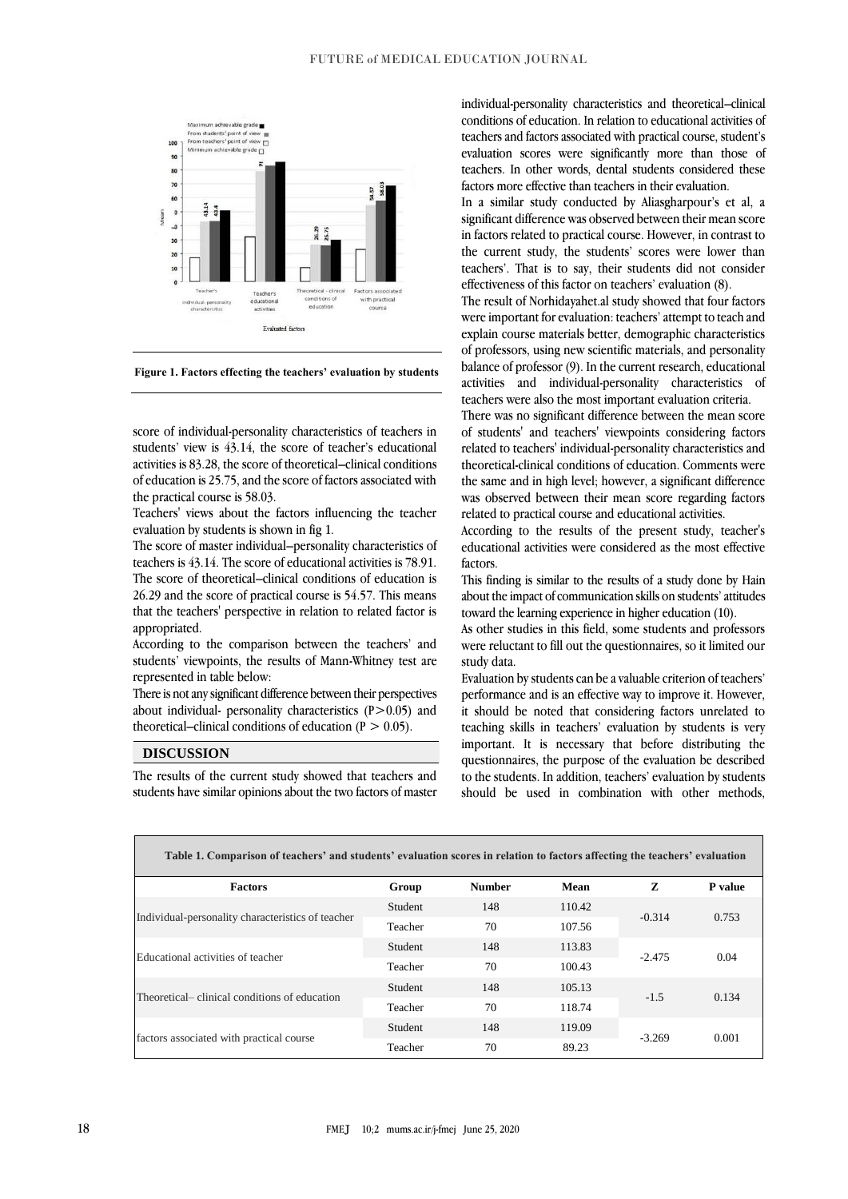

**Figure 1. Factors effecting the teachers' evaluation by students**

score of individual-personality characteristics of teachers in students' view is 43.14, the score of teacher's educational activities is 83.28, the score of theoretical–clinical conditions of education is 25.75, and the score of factors associated with the practical course is 58.03.

Teachers' views about the factors influencing the teacher evaluation by students is shown in fig 1.

The score of master individual–personality characteristics of teachers is 43.14. The score of educational activities is 78.91. The score of theoretical–clinical conditions of education is 26.29 and the score of practical course is 54.57. This means that the teachers' perspective in relation to related factor is appropriated.

According to the comparison between the teachers' and students' viewpoints, the results of Mann-Whitney test are represented in table below:

There is not any significant difference between their perspectives about individual- personality characteristics  $(P>0.05)$  and theoretical–clinical conditions of education ( $P > 0.05$ ).

#### **DISCUSSION**

The results of the current study showed that teachers and students have similar opinions about the two factors of master

individual-personality characteristics and theoretical–clinical conditions of education. In relation to educational activities of teachers and factors associated with practical course, student's evaluation scores were significantly more than those of teachers. In other words, dental students considered these factors more effective than teachers in their evaluation.

In a similar study conducted by Aliasgharpour's et al, a significant difference was observed between their mean score in factors related to practical course. However, in contrast to the current study, the students' scores were lower than teachers'. That is to say, their students did not consider effectiveness of this factor on teachers' evaluation (8).

The result of Norhidayahet.al study showed that four factors were important for evaluation: teachers' attempt to teach and explain course materials better, demographic characteristics of professors, using new scientific materials, and personality balance of professor (9). In the current research, educational activities and individual-personality characteristics teachers were also the most important evaluation criteria.

There was no significant difference between the mean score of students' and teachers' viewpoints considering factors related to teachers' individual-personality characteristics and theoretical-clinical conditions of education. Comments were the same and in high level; however, a significant difference was observed between their mean score regarding factors related to practical course and educational activities.

According to the results of the present study, teacher's educational activities were considered as the most effective factors.

This finding is similar to the results of a study done by Hain about the impact of communication skills on students' attitudes toward the learning experience in higher education (10).

As other studies in this field, some students and professors were reluctant to fill out the questionnaires, so it limited our study data.

Evaluation by students can be a valuable criterion of teachers' performance and is an effective way to improve it. However, it should be noted that considering factors unrelated to teaching skills in teachers' evaluation by students is very important. It is necessary that before distributing the questionnaires, the purpose of the evaluation be described to the students. In addition, teachers' evaluation by students should be used in combination with other methods,

| Table 1. Comparison of teachers' and students' evaluation scores in relation to factors affecting the teachers' evaluation |         |               |        |          |         |
|----------------------------------------------------------------------------------------------------------------------------|---------|---------------|--------|----------|---------|
| <b>Factors</b>                                                                                                             | Group   | <b>Number</b> | Mean   | z        | P value |
| Individual-personality characteristics of teacher                                                                          | Student | 148           | 110.42 | $-0.314$ | 0.753   |
|                                                                                                                            | Teacher | 70            | 107.56 |          |         |
| Educational activities of teacher                                                                                          | Student | 148           | 113.83 | $-2.475$ | 0.04    |
|                                                                                                                            | Teacher | 70            | 100.43 |          |         |
| Theoretical– clinical conditions of education                                                                              | Student | 148           | 105.13 | $-1.5$   | 0.134   |
|                                                                                                                            | Teacher | 70            | 118.74 |          |         |
| factors associated with practical course                                                                                   | Student | 148           | 119.09 | $-3.269$ | 0.001   |
|                                                                                                                            | Teacher | 70            | 89.23  |          |         |